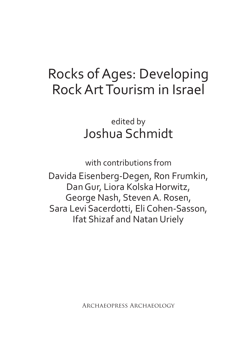# Rocks of Ages: Developing Rock Art Tourism in Israel

edited by Joshua Schmidt

with contributions from

Davida Eisenberg-Degen, Ron Frumkin, Dan Gur, Liora Kolska Horwitz, George Nash, Steven A. Rosen, Sara Levi Sacerdotti, Eli Cohen-Sasson, Ifat Shizaf and Natan Uriely

Archaeopress Archaeology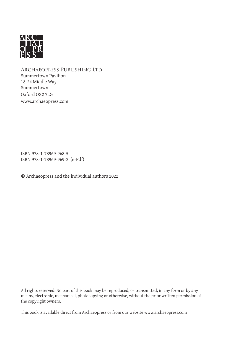

Archaeopress Publishing Ltd Summertown Pavilion 18-24 Middle Way Summertown Oxford OX2 7LG www.archaeopress.com

ISBN 978-1-78969-968-5 ISBN 978-1-78969-969-2 (e-Pdf)

© Archaeopress and the individual authors 2022

All rights reserved. No part of this book may be reproduced, or transmitted, in any form or by any means, electronic, mechanical, photocopying or otherwise, without the prior written permission of the copyright owners.

This book is available direct from Archaeopress or from our website www.archaeopress.com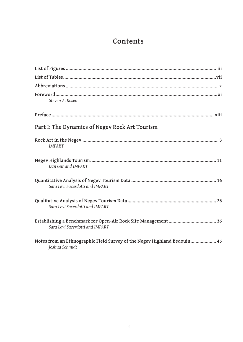### **Contents**

| Steven A. Rosen                                                                            |
|--------------------------------------------------------------------------------------------|
|                                                                                            |
| Part I: The Dynamics of Negev Rock Art Tourism                                             |
| <b>IMPART</b>                                                                              |
| Dan Gur and IMPART                                                                         |
| Sara Levi Sacerdotti and IMPART                                                            |
| Sara Levi Sacerdotti and IMPART                                                            |
| Sara Levi Sacerdotti and IMPART                                                            |
| Notes from an Ethnographic Field Survey of the Negev Highland Bedouin 45<br>Joshua Schmidt |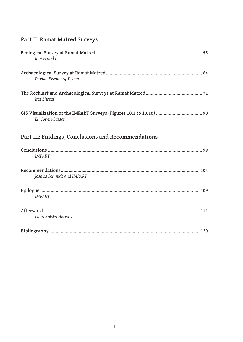| Part II: Ramat Matred Surveys |  |
|-------------------------------|--|
|-------------------------------|--|

| Ron Frumkin                                         |
|-----------------------------------------------------|
| Davida Eisenberg-Degen                              |
| Ifat Shezaf                                         |
| Eli Cohen-Sasson                                    |
| Part III: Findings, Conclusions and Recommendations |
| <b>IMPART</b>                                       |
| Joshua Schmidt and IMPART                           |
| <b>IMPART</b>                                       |
| Liora Kolska Horwitz                                |
|                                                     |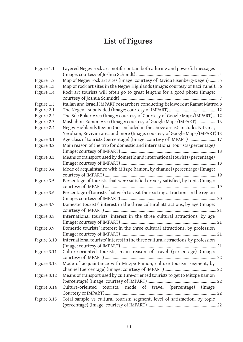# **List of Figures**

| Figure 1.1  | Layered Negev rock art motifs contain both alluring and powerful messages                                                                                |
|-------------|----------------------------------------------------------------------------------------------------------------------------------------------------------|
| Figure 1.2  | Map of Negev rock art sites (Image: courtesy of Davida Eisenberg-Degen)  5                                                                               |
| Figure 1.3  | Map of rock art sites in the Negev Highlands (Image: courtesy of Razi Yahel) 6                                                                           |
| Figure 1.4  | Rock art tourists will often go to great lengths for a good photo (Image:                                                                                |
| Figure 1.5  | Italian and Israeli IMPART researchers conducting fieldwork at Ramat Matred 8                                                                            |
| Figure 2.1  |                                                                                                                                                          |
|             | The Sde Boker Area (Image: courtesy of Courtesy of Google Maps/IMPART) 12                                                                                |
| Figure 2.2  |                                                                                                                                                          |
| Figure 2.3  | Mashabim-Ramon Area (Image: courtesy of Google Maps/IMPART)  13                                                                                          |
| Figure 2.4  | Negev Highlands Region (not included in the above areas): includes Nitzana,<br>Yeruham, Revivim area and more (Image: courtesy of Google Maps/IMPART) 13 |
| Figure 3.1  | Age class of tourists (percentage) (Image: courtesy of IMPART)  17                                                                                       |
| Figure 3.2  | Main reason of the trip for domestic and international tourists (percentage)                                                                             |
|             |                                                                                                                                                          |
| Figure 3.3  | Means of transport used by domestic and international tourists (percentage)                                                                              |
|             |                                                                                                                                                          |
| Figure 3.4  | Mode of acquaintance with Mitzpe Ramon, by channel (percentage) (Image:                                                                                  |
| Figure 3.5  | Percentage of tourists that were satisfied or very satisfied, by topic (Image:                                                                           |
|             |                                                                                                                                                          |
| Figure 3.6  | Percentage of tourists that wish to visit the existing attractions in the region                                                                         |
|             |                                                                                                                                                          |
| Figure 3.7  | Domestic tourists' interest in the three cultural attractions, by age (Image:                                                                            |
| Figure 3.8  | International tourists' interest in the three cultural attractions, by age                                                                               |
|             |                                                                                                                                                          |
| Figure 3.9  | Domestic tourists' interest in the three cultural attractions, by profession                                                                             |
|             |                                                                                                                                                          |
| Figure 3.10 | International tourists' interest in the three cultural attractions, by profession                                                                        |
|             |                                                                                                                                                          |
| Figure 3.11 | Culture-oriented tourists, main reason of travel (percentage) (Image:                                                                                    |
|             |                                                                                                                                                          |
| Figure 3.13 | Mode of acquaintance with Mitzpe Ramon, culture tourism segment, by                                                                                      |
| Figure 3.12 | Means of transport used by culture-oriented tourists to get to Mitzpe Ramon                                                                              |
|             |                                                                                                                                                          |
| Figure 3.14 | Culture-oriented tourists, mode of travel (percentage) (Image                                                                                            |
|             |                                                                                                                                                          |
| Figure 3.15 | Total sample vs cultural tourism segment, level of satisfaction, by topic                                                                                |
|             |                                                                                                                                                          |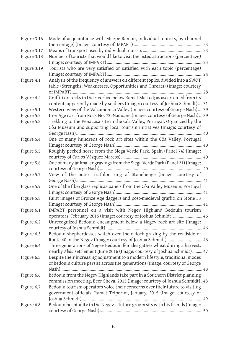| Figure 3.16 | Mode of acquaintance with Mitzpe Ramon, individual tourists, by channel         |
|-------------|---------------------------------------------------------------------------------|
| Figure 3.17 |                                                                                 |
| Figure 3.18 | Number of tourists that would like to visit the listed attractions (percentage) |
|             |                                                                                 |
| Figure 3.19 | Tourists who are very satisfied or satisfied with each topic (percentage)       |
|             | 24                                                                              |
| Figure 4.1  | Analysis of the frequency of answers on different topics, divided into a SWOT   |
|             | table (Strengths, Weaknesses, Opportunities and Threats) (Image: courtesy       |
|             |                                                                                 |
| Figure 4.2  | Graffiti on rocks in the riverbed below Ramat Matred; as ascertained from its   |
|             | content, apparently made by soldiers (Image: courtesy of Joshua Schmidt) 31     |
| Figure 5.1  | Western view of the Valcamonica Valley (Image: courtesy of George Nash) 39      |
| Figure 5.2  | Iron Age cart from Rock No. 73, Naquane (Image: courtesy of George Nash)  39    |
| Figure 5.3  | Trekking to the Penacosa site in the Côa Valley, Portugal. Organized by the     |
|             | Côa Museum and supporting local tourism initiatives (Image: courtesy of         |
|             |                                                                                 |
| Figure 5.4  | One of many hundreds of rock art sites within the Côa Valley, Portugal          |
|             |                                                                                 |
| Figure 5.5  | Roughly pecked horse from the Siega Verde Park, Spain (Panel 74) (Image:        |
|             |                                                                                 |
| Figure 5.6  | One of many animal engravings from the Siega Verde Park (Panel 21) (Image:      |
|             |                                                                                 |
| Figure 5.7  | View of the outer triathlon ring of Stonehenge (Image: courtesy of              |
|             |                                                                                 |
| Figure 5.9  | One of the fiberglass replicas panels from the Côa Valley Museum, Portugal      |
|             |                                                                                 |
| Figure 5.8  | Faint images of Bronze Age daggers and post-medieval graffiti on Stone 53       |
|             |                                                                                 |
| Figure 6.1  | IMPART personnel on a visit with Negev Highland Bedouin tourism                 |
|             | operators, February 2016 (Image: courtesy of Joshua Schmidt) 46                 |
| Figure 6.2  | Unrecognized Bedouin encampment below a Negev rock art site (Image:             |
|             |                                                                                 |
| Figure 6.3  | Bedouin shepherdesses watch over their flock grazing by the roadside of         |
|             | Route 40 in the Negev (Image: courtesy of Joshua Schmidt)  46                   |
| Figure 6.4  | Three generations of Negev Bedouin females gather wheat during a harvest,       |
|             | nearby Abda settlement, June 2016 (Image: courtesy of Joshua Schmidt) 47        |
| Figure 6.5  | Despite their increasing adjustment to a modern lifestyle, traditional modes    |
|             | of Bedouin culture persist across the generations (Image: courtesy of George    |
|             |                                                                                 |
| Figure 6.6  | Bedouin from the Negev Highlands take part in a Southern District planning      |
|             | commission meeting, Beer Sheva, 2015 (Image: courtesy of Joshua Schmidt). 48    |
| Figure 6.7  | Bedouin tourism operators voice their concerns over their future to visiting    |
|             | government officials, Ramat Tziporim, January, 2015 (Image: courtesy of         |
|             |                                                                                 |
| Figure 6.8  | Bedouin hospitality in the Negev, a future groom sits with his friends (Image:  |
|             |                                                                                 |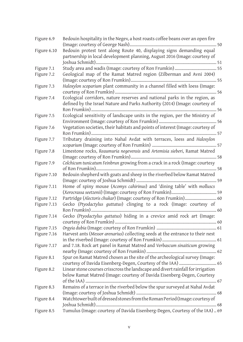| Figure 6.9  | Bedouin hospitality in the Negev, a host roasts coffee beans over an open fire   |
|-------------|----------------------------------------------------------------------------------|
| Figure 6.10 | Bedouin protest tent along Route 40, displaying signs demanding equal            |
|             | partnership in local development planning, August 2016 (Image: courtesy of       |
|             |                                                                                  |
| Figure 7.1  |                                                                                  |
| Figure 7.2  | Geological map of the Ramat Matred region (Zilberman and Avni 2004)              |
|             |                                                                                  |
| Figure 7.3  | Haloxylon scoparium plant community in a channel filled with loess (Image:       |
| Figure 7.4  | Ecological corridors, nature reserves and national parks in the region, as       |
|             | defined by the Israel Nature and Parks Authority (2014) (Image: courtesy of      |
|             |                                                                                  |
| Figure 7.5  | Ecological sensitivity of landscape units in the region, per the Ministry of     |
|             |                                                                                  |
| Figure 7.6  | Vegetation societies, their habitats and points of interest (Image: courtesy of  |
|             |                                                                                  |
| Figure 7.7  | Tributary draining into Nahal Avdat with terraces, loess and Haloxylon           |
|             |                                                                                  |
| Figure 7.8  | Limestone rocks, Reaumuria negevensis and Artemisia sieberi, Ramat Matred        |
|             |                                                                                  |
| Figure 7.9  | Colchicum tunicatum Feinbrun growing from a crack in a rock (Image: courtesy     |
|             |                                                                                  |
| Figure 7.10 | Bedouin shepherd with goats and sheep in the riverbed below Ramat Matred         |
|             |                                                                                  |
| Figure 7.11 | Home of spiny mouse (Acomys cahirinus) and 'dining table' with molluscs          |
|             |                                                                                  |
| Figure 7.12 | Partridge (Alectoris chukar) (Image: courtesy of Ron Frumkin) 60                 |
| Figure 7.13 | Gecko (Ptyodactylus guttatus) clinging to a rock (Image: courtesy of             |
| Figure 7.14 | Gecko (Ptyodactylus guttatus) hiding in a crevice amid rock art (Image:          |
|             |                                                                                  |
| Figure 7.15 |                                                                                  |
| Figure 7.16 | Harvest ants (Messor arenarius) collecting seeds at the entrance to their nest   |
|             |                                                                                  |
| Figure 7.17 | and 7.18. Rock art panel in Ramat Matred and Verbascum sinaiticum growing        |
|             |                                                                                  |
| Figure 8.1  | Spur on Ramat Matred chosen as the site of the archeological survey (Image:      |
|             |                                                                                  |
| Figure 8.2  | Linear stone courses crisscross the landscape and divert rainfall for irrigation |
|             | below Ramat Matred (Image: courtesy of Davida Eisenberg-Degen, Courtesy          |
|             |                                                                                  |
|             |                                                                                  |
| Figure 8.3  | Remains of a terrace in the riverbed below the spur surveyed at Nahal Avdat      |
|             |                                                                                  |
| Figure 8.4  | Watchtower built of dressed stones from the Roman Period (Image: courtesy of     |
|             |                                                                                  |
| Figure 8.5  | Tumulus (Image: courtesy of Davida Eisenberg-Degen, Courtesy of the IAA)  69     |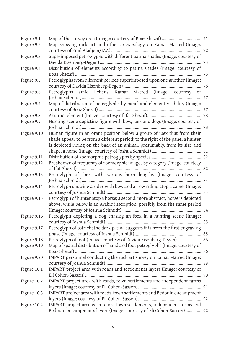| Figure 9.1  |                                                                                |
|-------------|--------------------------------------------------------------------------------|
| Figure 9.2  | Map showing rock art and other archaeology on Ramat Matred (Image:             |
|             |                                                                                |
| Figure 9.3  | Superimposed petroglyphs with different patina shades (Image: courtesy of      |
|             |                                                                                |
| Figure 9.4  | Distribution of elements according to patina shades (Image: courtesy of        |
|             |                                                                                |
| Figure 9.5  | Petroglyphs from different periods superimposed upon one another (Image:       |
|             |                                                                                |
| Figure 9.6  | Petroglyphs amid lichens, Ramat Matred (Image: courtesy of                     |
|             |                                                                                |
| Figure 9.7  | Map of distribution of petroglyphs by panel and element visibility (Image:     |
|             |                                                                                |
| Figure 9.8  |                                                                                |
| Figure 9.9  | Hunting scene depicting figure with bow, ibex and dogs (Image: courtesy of     |
|             | 78                                                                             |
| Figure 9.10 | Human figure in an orant position below a group of ibex that from their        |
|             | shade appear to be from a different period; to the right of the panel a hunter |
|             | is depicted riding on the back of an animal, presumably, from its size and     |
|             |                                                                                |
| Figure 9.11 |                                                                                |
| Figure 9.12 | Breakdown of frequency of zoomorphic images by category (Image: courtesy       |
|             | 82                                                                             |
| Figure 9.13 | Petroglyph of ibex with various horn lengths (Image: courtesy of               |
|             | 83                                                                             |
| Figure 9.14 | Petroglyph showing a rider with bow and arrow riding atop a camel (Image:      |
|             |                                                                                |
| Figure 9.15 | Petroglyph of hunter atop a horse; a second, more abstract, horse is depicted  |
|             | above, while below is an Arabic inscription, possibly from the same period     |
|             |                                                                                |
| Figure 9.16 | Petroglyph depicting a dog chasing an ibex in a hunting scene (Image:          |
|             |                                                                                |
| Figure 9.17 | Petroglyph of ostrich; the dark patina suggests it is from the first engraving |
|             |                                                                                |
| Figure 9.18 | Petroglyph of foot (Image: courtesy of Davida Eisenberg-Degen)  86             |
| Figure 9.19 | Map of spatial distribution of hand and foot petroglyphs (Image: courtesy of   |
| Figure 9.20 |                                                                                |
|             | IMPART personnel conducting the rock art survey on Ramat Matred (Image:        |
|             | IMPART project area with roads and settlements layers (Image: courtesy of      |
| Figure 10.1 |                                                                                |
| Figure 10.2 | IMPART project area with roads, town settlements and independent farms         |
|             |                                                                                |
| Figure 10.3 | IMPART project area with roads, town settlements and Bedouin encampment        |
|             |                                                                                |
| Figure 10.4 | IMPART project area with roads, town settlements, independent farms and        |
|             | Bedouin encampments layers (Image: courtesy of Eli Cohen-Sasson)  92           |
|             |                                                                                |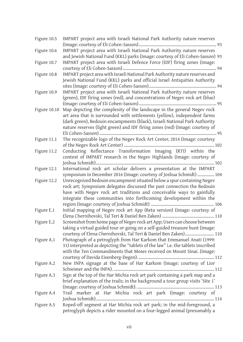| Figure 10.5 | IMPART project area with Israeli National Park Authority nature reserves             |
|-------------|--------------------------------------------------------------------------------------|
|             |                                                                                      |
| Figure 10.6 | IMPART project area with Israeli National Park Authority nature reserves             |
|             | and Jewish National Fund (KKL) parks (Image: courtesy of Eli Cohen-Sasson) 93        |
| Figure 10.7 | IMPART project area with Israeli Defence Force (IDF) firing zones (Image:            |
|             |                                                                                      |
| Figure 10.8 | IMPART project area with Israeli National Park Authority nature reserves and         |
|             | Jewish National Fund (KKL) parks and official Israel Antiquities Authority           |
|             |                                                                                      |
| Figure 10.9 | IMPART project area with Israeli National Park Authority nature reserves             |
|             | (green), IDF firing zones (red), and concentrations of Negev rock art (blue)         |
|             |                                                                                      |
|             | Figure 10.10 Map depicting the complexity of the landscape in the general Negev rock |
|             | art area that is surrounded with settlements (yellow), independent farms             |
|             | (dark green), Bedouin encampments (black), Israeli National Park Authority           |
|             | nature reserves (light green) and IDF firing zones (red) (Image: courtesy of         |
|             |                                                                                      |
| Figure 11.1 | The recognizable logo of the Negev Rock Art Center, 2014 (Image: courtesy            |
|             |                                                                                      |
| Figure 11.2 | Conducting Reflectance Transformation Imaging (RTI) within the                       |
|             | context of IMPART research in the Negev Highlands (Image: courtesy of                |
|             |                                                                                      |
| Figure 12.1 | International rock art scholar delivers a presentation at the IMPART                 |
|             | symposium in December 2016 (Image: courtesy of Joshua Schmidt)  104                  |
| Figure 12.2 | Unrecognized Bedouin encampment situated below a spur containing Negev               |
|             | rock art; Symposium delegates discussed the past connection the Bedouin              |
|             | have with Negev rock art traditions and conceivable ways to gainfully                |
|             | integrate these communities into forthcoming development within the                  |
|             |                                                                                      |
| Figure E.1  | Initial mapping of Negev rock art App (Beta version) (Image: courtesy of             |
|             |                                                                                      |
| Figure E.2  | Screenshot from home page of Negev rock art App; Users can choose between            |
|             | taking a virtual guided tour or going on a self-guided treasure hunt (Image:         |
|             | courtesy of Elena Chernihovski, Tal Teri & Daniel Ben Zaken) 110                     |
| Figure A.1  | Photograph of a petroglyph from Har Karkom that Emmanuel Anati (1999:                |
|             | 31) interpreted as depicting the "tablets of the law" i.e. the tablets inscribed     |
|             | with the Ten Commandments that Moses received on Mount Sinai. (Image:                |
|             |                                                                                      |
| Figure A.2  | New INPA signage at the base of Har Karkom (Image: courtesy of Lior                  |
|             |                                                                                      |
| Figure A.3  | Sign at the top of the Har Michia rock art park containing a park map and a          |
|             | brief explanation of the trails; in the background a tour group visits 'Site 1'      |
|             |                                                                                      |
| Figure A.4  | Trail marker at Har Michia rock art park (Image: courtesy of                         |
|             |                                                                                      |
| Figure A.5  | Roped-off segment at Har Michia rock art park; in the mid-foreground, a              |
|             | petroglyph depicts a rider mounted on a four-legged animal (presumably a             |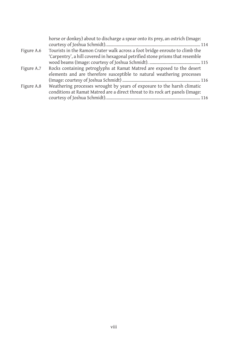|            | horse or donkey) about to discharge a spear onto its prey, an ostrich (Image: |
|------------|-------------------------------------------------------------------------------|
|            |                                                                               |
| Figure A.6 | Tourists in the Ramon Crater walk across a foot bridge enroute to climb the   |
|            | 'Carpentry', a hill covered in hexagonal petrified stone prisms that resemble |
|            |                                                                               |
| Figure A.7 | Rocks containing petroglyphs at Ramat Matred are exposed to the desert        |
|            | elements and are therefore susceptible to natural weathering processes        |
|            |                                                                               |
| Figure A.8 | Weathering processes wrought by years of exposure to the harsh climatic       |
|            | conditions at Ramat Matred are a direct threat to its rock art panels (Image: |
|            |                                                                               |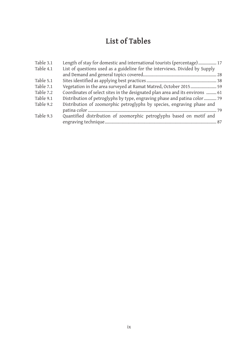# **List of Tables**

| Table 3.1 | Length of stay for domestic and international tourists (percentage) 17       |  |
|-----------|------------------------------------------------------------------------------|--|
| Table 4.1 | List of questions used as a guideline for the interviews. Divided by Supply  |  |
|           |                                                                              |  |
| Table 5.1 |                                                                              |  |
| Table 7.1 | Vegetation in the area surveyed at Ramat Matred, October 2015 59             |  |
| Table 7.2 | Coordinates of select sites in the designated plan area and its environs  61 |  |
| Table 9.1 | Distribution of petroglyphs by type, engraving phase and patina color  79    |  |
| Table 9.2 | Distribution of zoomorphic petroglyphs by species, engraving phase and       |  |
|           |                                                                              |  |
| Table 9.3 | Quantified distribution of zoomorphic petroglyphs based on motif and         |  |
|           |                                                                              |  |
|           |                                                                              |  |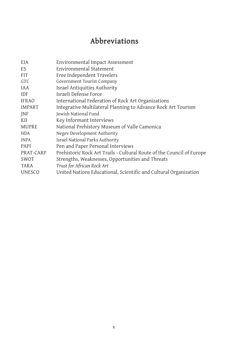## **Abbreviations**

| EIA           | Environmental Impact Assessment                                       |
|---------------|-----------------------------------------------------------------------|
| ES            | Environmental Statement                                               |
| <b>FIT</b>    | Free Independent Travelers                                            |
| <b>GTC</b>    | Government Tourist Company                                            |
| <b>IAA</b>    | Israel Antiquities Authority                                          |
| <b>IDF</b>    | Israeli Defense Force                                                 |
| <b>IFRAO</b>  | International Federation of Rock Art Organizations                    |
| <b>IMPART</b> | Integrative Multilateral Planning to Advance Rock Art Tourism         |
| <b>INF</b>    | Jewish National Fund                                                  |
| KII           | Key Informant Interviews                                              |
| <b>MUPRE</b>  | National Prehistory Museum of Valle Camonica                          |
| <b>NDA</b>    | Negev Development Authority                                           |
| <b>INPA</b>   | Israel National Parks Authority                                       |
| <b>PAPI</b>   | Pen and Paper Personal Interviews                                     |
| PRAT-CARP     | Prehistoric Rock Art Trails - Cultural Route of the Council of Europe |
| SWOT          | Strengths, Weaknesses, Opportunities and Threats                      |
| TARA          | Trust for African Rock Art                                            |
| <b>UNESCO</b> | United Nations Educational, Scientific and Cultural Organization      |
|               |                                                                       |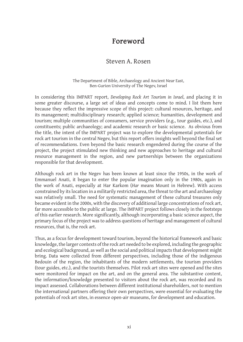### **Foreword**

#### Steven A. Rosen

#### The Department of Bible, Archaeology and Ancient Near East, Ben-Gurion University of The Negev, Israel

In considering this IMPART report, *Developing Rock Art Tourism in Israel*, and placing it in some greater discourse, a large set of ideas and concepts come to mind. I list them here because they reflect the impressive scope of this project: cultural resources, heritage, and its management; multidisciplinary research; applied science; humanities, development and tourism; multiple communities of consumers, service providers (e.g., tour guides, etc.), and constituents; public archaeology; and academic research or basic science. As obvious from the title, the intent of the IMPART project was to explore the developmental potentials for rock art tourism in the central Negev, but this report offers insights well beyond the final set of recommendations. Even beyond the basic research engendered during the course of the project, the project stimulated new thinking and new approaches to heritage and cultural resource management in the region, and new partnerships between the organizations responsible for that development.

Although rock art in the Negev has been known at least since the 1950s, in the work of Emmanuel Anati, it began to enter the popular imagination only in the 1980s, again in the work of Anati, especially at Har Karkom (*Har* means Mount in Hebrew). With access constrained by its location in a militarily restricted area, the threat to the art and archaeology was relatively small. The need for systematic management of these cultural treasures only became evident in the 2000s, with the discovery of additional large concentrations of rock art, far more accessible to the public at large. The IMPART project follows closely in the footsteps of this earlier research. More significantly, although incorporating a basic science aspect, the primary focus of the project was to address questions of heritage and management of cultural resources, that is, the rock art.

Thus, as a focus for development toward tourism, beyond the historical framework and basic knowledge, the larger contexts of the rock art needed to be explored, including the geographic and ecological background, as well as the social and political impacts that development might bring. Data were collected from different perspectives, including those of the indigenous Bedouin of the region, the inhabitants of the modern settlements, the tourism providers (tour guides, etc.), and the tourists themselves. Pilot rock art sites were opened and the sites were monitored for impact on the art, and on the general area. The substantive content, the information/knowledge presented to visitors about the rock art, was recorded and its impact assessed. Collaborations between different institutional shareholders, not to mention the international partners offering their own perspectives, were essential for evaluating the potentials of rock art sites, in essence open-air museums, for development and education.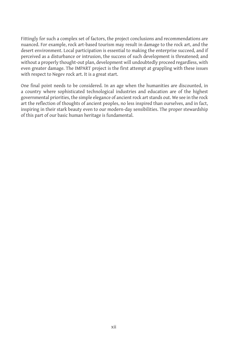Fittingly for such a complex set of factors, the project conclusions and recommendations are nuanced. For example, rock art-based tourism may result in damage to the rock art, and the desert environment. Local participation is essential to making the enterprise succeed, and if perceived as a disturbance or intrusion, the success of such development is threatened; and without a properly thought-out plan, development will undoubtedly proceed regardless, with even greater damage. The IMPART project is the first attempt at grappling with these issues with respect to Negev rock art. It is a great start.

One final point needs to be considered. In an age when the humanities are discounted, in a country where sophisticated technological industries and education are of the highest governmental priorities, the simple elegance of ancient rock art stands out. We see in the rock art the reflection of thoughts of ancient peoples, no less inspired than ourselves, and in fact, inspiring in their stark beauty even to our modern-day sensibilities. The proper stewardship of this part of our basic human heritage is fundamental.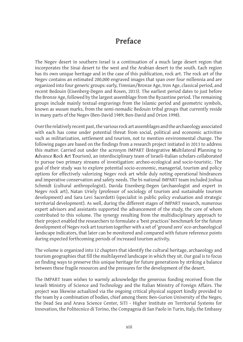### **Preface**

The Negev desert in southern Israel is a continuation of a much large desert region that incorporates the Sinai desert to the west and the Arabian desert to the south. Each region has its own unique heritage and in the case of this publication, rock art. The rock art of the Negev contains an estimated 200,000 engraved images that span over four millennia and are organized into four generic groups: early, Timnian/Bronze Age, Iron Age, classical period, and recent Bedouin (Eisenberg-Degen and Rosen, 2013). The earliest period dates to just before the Bronze Age, followed by the largest assemblage from the Byzantine period. The remaining groups include mainly textual engravings from the Islamic period and geometric symbols, known as *wusum* marks, from the semi-nomadic Bedouin tribal groups that currently reside in many parts of the Negev (Ben-David 1989; Ben-David and Orion 1998).

Over the relatively recent past, the various rock art assemblages and the archaeology associated with each has come under potential threat from social, political and economic activities such as militarization, settlement and tourism, not to mention environmental change. The following pages are based on the findings from a research project initiated in 2013 to address this matter. Carried out under the acronym IMPART (**I**ntegrative **M**ultilateral **P**lanning to **A**dvance **R**ock **A**rt **T**ourism), an interdisciplinary team of Israeli-Italian scholars collaborated to pursue two primary streams of investigation: archeo-ecological and socio-touristic. The goal of their study was to explore potential socio-economic, managerial, tourism and policy options for effectively valorizing Negev rock art while duly noting operational hindrances and imperative conservation and safety needs. The bi-national IMPART team included Joshua Schmidt (cultural anthropologist), Davida Eisenberg-Degen (archaeologist and expert in Negev rock art), Natan Uriely (professor of sociology of tourism and sustainable tourism development) and Sara Levi Sacerdotti (specialist in public policy evaluation and strategic territorial development). As well, during the different stages of IMPART research, numerous expert advisors and assistants supported the advancement of the study, the core of whom contributed to this volume. The synergy resulting from the multidisciplinary approach to their project enabled the researchers to formulate a 'best practices' benchmark for the future development of Negev rock art tourism together with a set of 'ground zero' eco-archaeological landscape indicators, that later can be monitored and compared with future reference points during expected forthcoming periods of increased tourism activity.

The volume is organized into 12 chapters that identify the cultural heritage, archaeology and tourism geographies that fill the multilayered landscape in which they sit. Our goal is to focus on finding ways to preserve this unique heritage for future generations by striking a balance between these fragile resources and the pressures for the development of the desert.

The IMPART team wishes to warmly acknowledge the generous funding received from the Israeli Ministry of Science and Technology and the Italian Ministry of Foreign Affairs. The project was likewise actualized via the ongoing critical physical support kindly provided to the team by a combination of bodies, chief among them: Ben-Gurion University of the Negev, the Dead Sea and Arava Science Center, SiTI - Higher Institute on Territorial Systems for Innovation, the Politecnico di Torino, the Compagnia di San Paolo in Turin, Italy, the Embassy